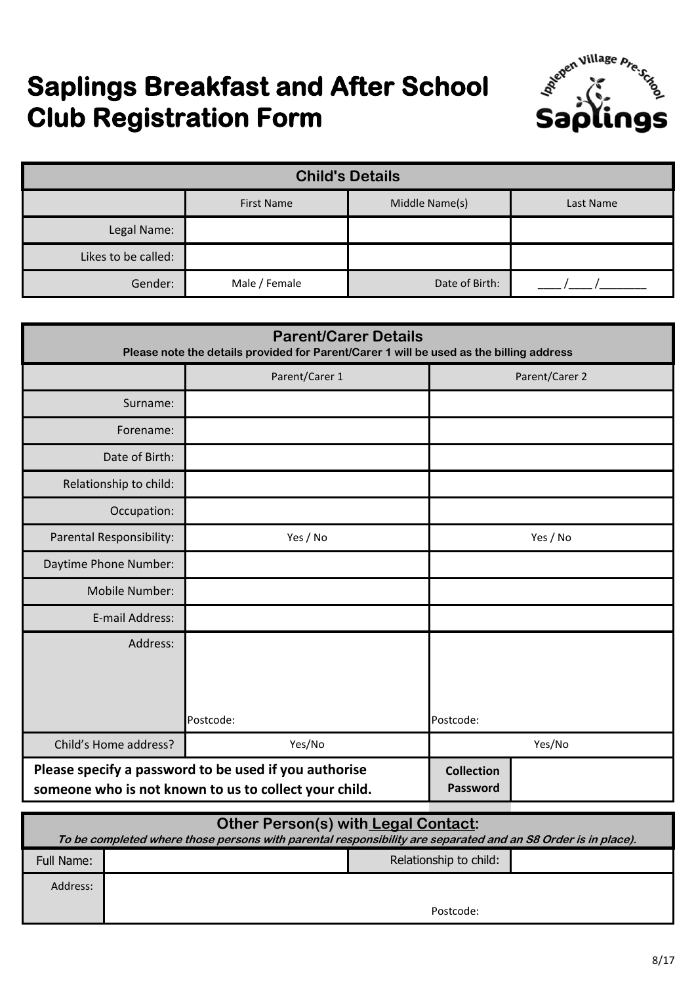# **Saplings Breakfast and After School Club Registration Form**



| <b>Child's Details</b>                           |               |                |  |  |
|--------------------------------------------------|---------------|----------------|--|--|
| Middle Name(s)<br><b>First Name</b><br>Last Name |               |                |  |  |
| Legal Name:                                      |               |                |  |  |
| Likes to be called:                              |               |                |  |  |
| Gender:                                          | Male / Female | Date of Birth: |  |  |

| <b>Parent/Carer Details</b><br>Please note the details provided for Parent/Carer 1 will be used as the billing address |                                                                                                                |                               |  |  |
|------------------------------------------------------------------------------------------------------------------------|----------------------------------------------------------------------------------------------------------------|-------------------------------|--|--|
|                                                                                                                        | Parent/Carer 1                                                                                                 | Parent/Carer 2                |  |  |
| Surname:                                                                                                               |                                                                                                                |                               |  |  |
| Forename:                                                                                                              |                                                                                                                |                               |  |  |
| Date of Birth:                                                                                                         |                                                                                                                |                               |  |  |
| Relationship to child:                                                                                                 |                                                                                                                |                               |  |  |
| Occupation:                                                                                                            |                                                                                                                |                               |  |  |
| Parental Responsibility:                                                                                               | Yes / No                                                                                                       | Yes / No                      |  |  |
| Daytime Phone Number:                                                                                                  |                                                                                                                |                               |  |  |
| Mobile Number:                                                                                                         |                                                                                                                |                               |  |  |
| E-mail Address:                                                                                                        |                                                                                                                |                               |  |  |
| Address:                                                                                                               |                                                                                                                |                               |  |  |
|                                                                                                                        |                                                                                                                |                               |  |  |
|                                                                                                                        | Postcode:                                                                                                      | Postcode:                     |  |  |
| Child's Home address?                                                                                                  | Yes/No                                                                                                         | Yes/No                        |  |  |
|                                                                                                                        | Please specify a password to be used if you authorise<br>someone who is not known to us to collect your child. | <b>Collection</b><br>Password |  |  |

| Other Person(s) with Legal Contact:                                                                          |  |                        |  |
|--------------------------------------------------------------------------------------------------------------|--|------------------------|--|
| To be completed where those persons with parental responsibility are separated and an S8 Order is in place). |  |                        |  |
| Full Name:                                                                                                   |  | Relationship to child: |  |
| Address:                                                                                                     |  |                        |  |
|                                                                                                              |  | Postcode:              |  |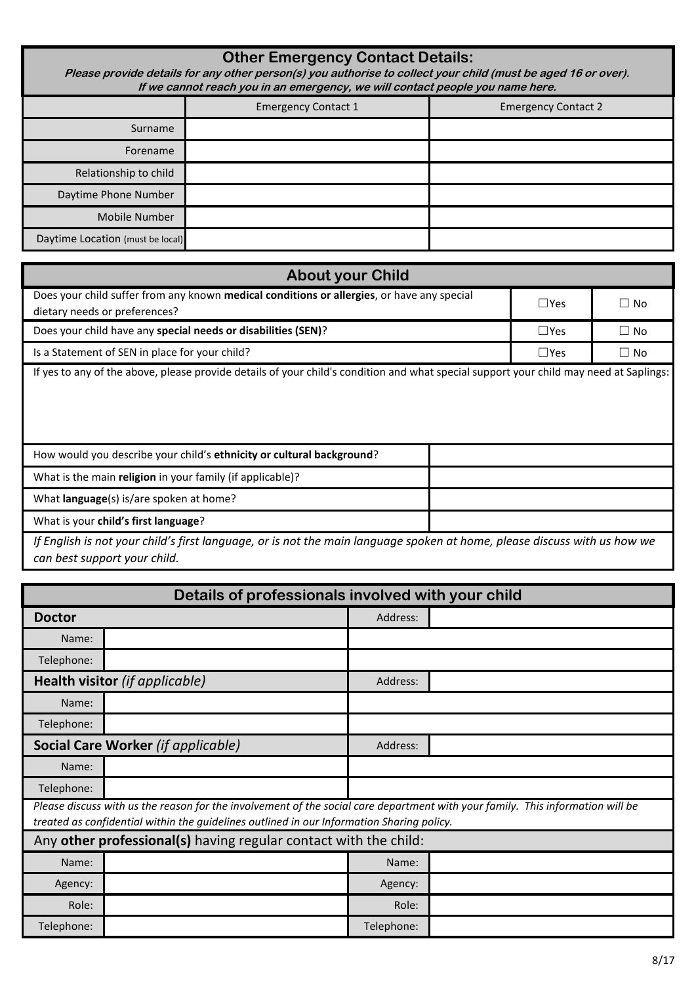| <b>Other Emergency Contact Details:</b><br>Please provide details for any other person(s) you authorise to collect your child (must be aged 16 or over).<br>If we cannot reach you in an emergency, we will contact people you name here. |                            |                            |  |  |
|-------------------------------------------------------------------------------------------------------------------------------------------------------------------------------------------------------------------------------------------|----------------------------|----------------------------|--|--|
|                                                                                                                                                                                                                                           | <b>Emergency Contact 1</b> | <b>Emergency Contact 2</b> |  |  |
| Surname                                                                                                                                                                                                                                   |                            |                            |  |  |
| Forename                                                                                                                                                                                                                                  |                            |                            |  |  |
| Relationship to child                                                                                                                                                                                                                     |                            |                            |  |  |
| Daytime Phone Number                                                                                                                                                                                                                      |                            |                            |  |  |
| <b>Mobile Number</b>                                                                                                                                                                                                                      |                            |                            |  |  |
| Daytime Location (must be local)                                                                                                                                                                                                          |                            |                            |  |  |

| <b>About your Child</b>                                                                                                                |               |           |  |  |
|----------------------------------------------------------------------------------------------------------------------------------------|---------------|-----------|--|--|
| Does your child suffer from any known medical conditions or allergies, or have any special<br>dietary needs or preferences?            |               | $\Box$ No |  |  |
| Does your child have any special needs or disabilities (SEN)?                                                                          | $\Box$ Yes    | $\Box$ No |  |  |
| Is a Statement of SEN in place for your child?                                                                                         | $\square$ Yes | $\Box$ No |  |  |
| If yes to any of the above, please provide details of your child's condition and what special support your child may need at Saplings: |               |           |  |  |
| How would you describe your child's ethnicity or cultural background?                                                                  |               |           |  |  |
| What is the main religion in your family (if applicable)?                                                                              |               |           |  |  |
| What <b>language</b> (s) is/are spoken at home?                                                                                        |               |           |  |  |

*If English is not your child's first language, or is not the main language spoken at home, please discuss with us how we can best support your child.*

What is your **child's first language**?

| Details of professionals involved with your child |                                                                                                                                                                                                                             |            |  |  |
|---------------------------------------------------|-----------------------------------------------------------------------------------------------------------------------------------------------------------------------------------------------------------------------------|------------|--|--|
| <b>Doctor</b>                                     |                                                                                                                                                                                                                             | Address:   |  |  |
| Name:                                             |                                                                                                                                                                                                                             |            |  |  |
| Telephone:                                        |                                                                                                                                                                                                                             |            |  |  |
|                                                   | Health visitor (if applicable)                                                                                                                                                                                              | Address:   |  |  |
| Name:                                             |                                                                                                                                                                                                                             |            |  |  |
| Telephone:                                        |                                                                                                                                                                                                                             |            |  |  |
|                                                   | <b>Social Care Worker (if applicable)</b>                                                                                                                                                                                   | Address:   |  |  |
| Name:                                             |                                                                                                                                                                                                                             |            |  |  |
| Telephone:                                        |                                                                                                                                                                                                                             |            |  |  |
|                                                   | Please discuss with us the reason for the involvement of the social care department with your family. This information will be<br>treated as confidential within the guidelines outlined in our Information Sharing policy. |            |  |  |
|                                                   | Any other professional(s) having regular contact with the child:                                                                                                                                                            |            |  |  |
| Name:                                             |                                                                                                                                                                                                                             | Name:      |  |  |
| Agency:                                           |                                                                                                                                                                                                                             | Agency:    |  |  |
| Role:                                             |                                                                                                                                                                                                                             | Role:      |  |  |
| Telephone:                                        |                                                                                                                                                                                                                             | Telephone: |  |  |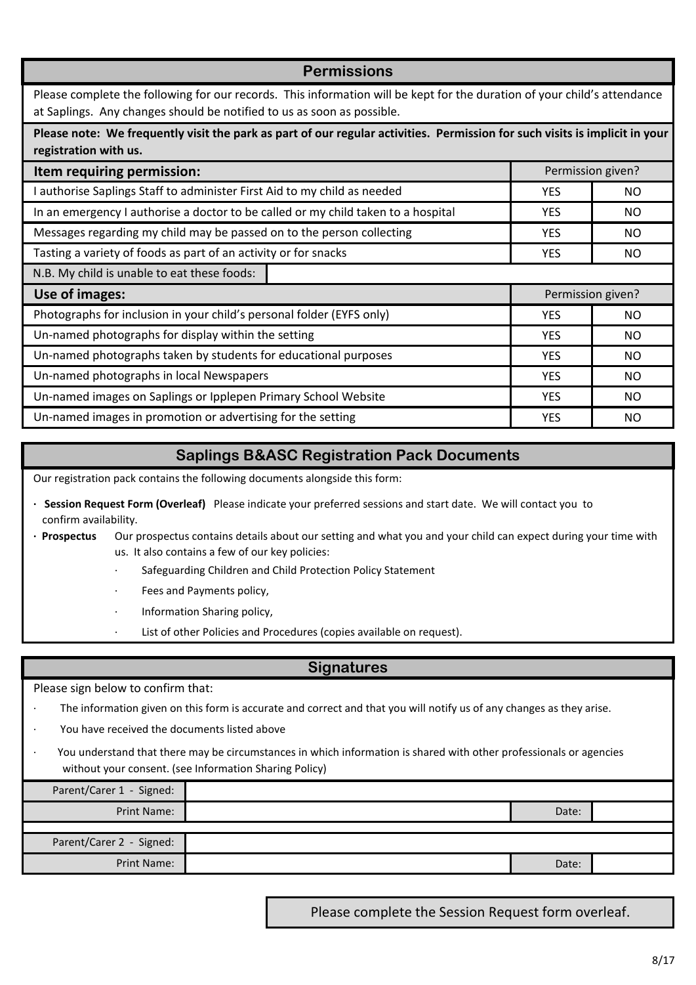YES I NO YES NO YES **NO** YES **NO** YES NO YES **NO** YES **NO** YES NO YES I NO YES **NO** Please complete the following for our records. This information will be kept for the duration of your child's attendance at Saplings. Any changes should be notified to us as soon as possible. Permission given? Photographs for inclusion in your child's personal folder (EYFS only) Un-named photographs for display within the setting Un-named photographs taken by students for educational purposes Un-named photographs in local Newspapers Un-named images on Saplings or Ipplepen Primary School Website Un-named images in promotion or advertising for the setting Permission given? **Item requiring permission:** Tasting a variety of foods as part of an activity or for snacks N.B. My child is unable to eat these foods: I authorise Saplings Staff to administer First Aid to my child as needed In an emergency I authorise a doctor to be called or my child taken to a hospital Messages regarding my child may be passed on to the person collecting **Use of images: Permissions Please note: We frequently visit the park as part of our regular activities. Permission for such visits is implicit in your registration with us.** 

## **Saplings B&ASC Registration Pack Documents**

Our registration pack contains the following documents alongside this form:

- confirm availability. **· Session Request Form (Overleaf)** Please indicate your preferred sessions and start date. We will contact you to
- **· Prospectus**  Our prospectus contains details about our setting and what you and your child can expect during your time with us. It also contains a few of our key policies:
	- Safeguarding Children and Child Protection Policy Statement
	- Fees and Payments policy,
	- · Information Sharing policy,
	- List of other Policies and Procedures (copies available on request).

## **Signatures**

Please sign below to confirm that:

- The information given on this form is accurate and correct and that you will notify us of any changes as they arise.
- You have received the documents listed above
- · You understand that there may be circumstances in which information is shared with other professionals or agencies without your consent. (see Information Sharing Policy)

| Parent/Carer 1 - Signed: |       |  |
|--------------------------|-------|--|
| Print Name:              | Date: |  |
|                          |       |  |
| Parent/Carer 2 - Signed: |       |  |
| Print Name:              | Date: |  |

Please complete the Session Request form overleaf.